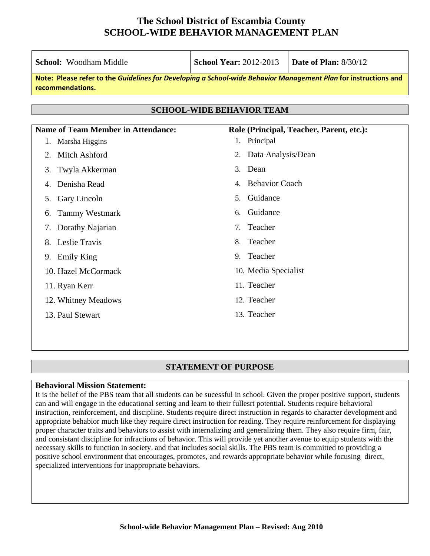| <b>School:</b> Woodham Middle                                                                                                       | <b>School Year: 2012-2013</b>                        | <b>Date of Plan: 8/30/12</b>             |  |  |  |
|-------------------------------------------------------------------------------------------------------------------------------------|------------------------------------------------------|------------------------------------------|--|--|--|
| Note: Please refer to the Guidelines for Developing a School-wide Behavior Management Plan for instructions and<br>recommendations. |                                                      |                                          |  |  |  |
|                                                                                                                                     |                                                      |                                          |  |  |  |
|                                                                                                                                     | <b>SCHOOL-WIDE BEHAVIOR TEAM</b>                     |                                          |  |  |  |
| <b>Name of Team Member in Attendance:</b>                                                                                           |                                                      | Role (Principal, Teacher, Parent, etc.): |  |  |  |
| Marsha Higgins<br>1.                                                                                                                | Principal<br>1.                                      |                                          |  |  |  |
| Mitch Ashford<br>2.                                                                                                                 | Data Analysis/Dean<br>2.                             |                                          |  |  |  |
| Twyla Akkerman<br>3.                                                                                                                | Dean<br>3.                                           |                                          |  |  |  |
| Denisha Read<br>4.                                                                                                                  | <b>Behavior Coach</b><br>4.                          |                                          |  |  |  |
| Gary Lincoln<br>5.                                                                                                                  | Guidance<br>5.                                       |                                          |  |  |  |
| <b>Tammy Westmark</b><br>6.                                                                                                         | Guidance<br>6.                                       |                                          |  |  |  |
| Dorathy Najarian<br>7.                                                                                                              | Teacher<br>$7_{\scriptscriptstyle{\ddot{\text{c}}}}$ |                                          |  |  |  |
| Leslie Travis<br>8.                                                                                                                 | Teacher<br>8.                                        |                                          |  |  |  |
| 9. Emily King                                                                                                                       | Teacher<br>9.                                        |                                          |  |  |  |
| 10. Hazel McCormack                                                                                                                 | 10. Media Specialist                                 |                                          |  |  |  |
| 11. Ryan Kerr                                                                                                                       | 11. Teacher                                          |                                          |  |  |  |
| 12. Whitney Meadows                                                                                                                 | 12. Teacher                                          |                                          |  |  |  |
| 13. Paul Stewart                                                                                                                    | 13. Teacher                                          |                                          |  |  |  |
|                                                                                                                                     |                                                      |                                          |  |  |  |
|                                                                                                                                     |                                                      |                                          |  |  |  |

#### **STATEMENT OF PURPOSE**

#### **Behavioral Mission Statement:**

It is the belief of the PBS team that all students can be sucessful in school. Given the proper positive support, students can and will engage in the educational setting and learn to their fullesrt potential. Students require behavioral instruction, reinforcement, and discipline. Students require direct instruction in regards to character development and appropriate behabior much like they require direct instruction for reading. They require reinforcement for displaying proper character traits and behaviors to assist with internalizing and generalizing them. They also require firm, fair, and consistant discipline for infractions of behavior. This will provide yet another avenue to equip students with the necessary skills to function in society. and that includes social skills. The PBS team is committed to providing a positive school environment that encourages, promotes, and rewards appropriate behavior while focusing direct, specialized interventions for inappropriate behaviors.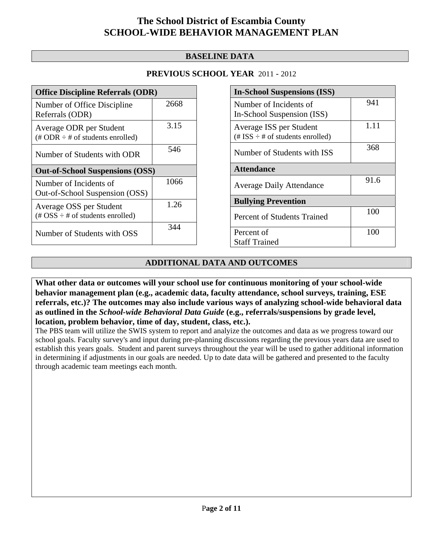### **BASELINE DATA**

### **PREVIOUS SCHOOL YEAR** 2011 - 2012

| <b>Office Discipline Referrals (ODR)</b>                                                        |      |  |
|-------------------------------------------------------------------------------------------------|------|--|
| Number of Office Discipline<br>Referrals (ODR)                                                  | 2668 |  |
| Average ODR per Student<br>$(\text{\# ODR} \div \text{\# of students enrolled})$                | 3.15 |  |
| Number of Students with ODR                                                                     | 546  |  |
| <b>Out-of-School Suspensions (OSS)</b>                                                          |      |  |
|                                                                                                 |      |  |
| Number of Incidents of<br>Out-of-School Suspension (OSS)                                        | 1066 |  |
| Average OSS per Student<br>$(\text{\#} \text{OSS} \div \text{\#} \text{ of students enrolled})$ | 1.26 |  |

| <b>In-School Suspensions (ISS)</b>                                 |      |  |
|--------------------------------------------------------------------|------|--|
| Number of Incidents of<br>In-School Suspension (ISS)               | 941  |  |
| Average ISS per Student<br>$(\# ISS \div \# of students enrolled)$ | 1.11 |  |
| Number of Students with ISS                                        | 368  |  |
| <b>Attendance</b>                                                  |      |  |
| <b>Average Daily Attendance</b>                                    | 91.6 |  |
| <b>Bullying Prevention</b>                                         |      |  |
| Percent of Students Trained                                        | 100  |  |
| Percent of<br><b>Staff Trained</b>                                 | 100  |  |

### **ADDITIONAL DATA AND OUTCOMES**

**What other data or outcomes will your school use for continuous monitoring of your school-wide behavior management plan (e.g., academic data, faculty attendance, school surveys, training, ESE referrals, etc.)? The outcomes may also include various ways of analyzing school-wide behavioral data as outlined in the** *School-wide Behavioral Data Guide* **(e.g., referrals/suspensions by grade level, location, problem behavior, time of day, student, class, etc.).**

The PBS team will utilize the SWIS system to report and analyize the outcomes and data as we progress toward our school goals. Faculty survey's and input during pre-planning discussions regarding the previous years data are used to establish this years goals. Student and parent surveys throughout the year will be used to gather additional information in determining if adjustments in our goals are needed. Up to date data will be gathered and presented to the faculty through academic team meetings each month.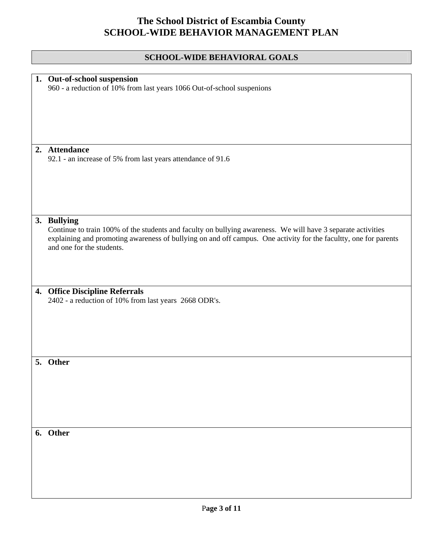| <b>SCHOOL-WIDE BEHAVIORAL GOALS</b>                                                                                                                                                                                                                                          |
|------------------------------------------------------------------------------------------------------------------------------------------------------------------------------------------------------------------------------------------------------------------------------|
|                                                                                                                                                                                                                                                                              |
| 1. Out-of-school suspension<br>960 - a reduction of 10% from last years 1066 Out-of-school suspenions                                                                                                                                                                        |
| 2. Attendance                                                                                                                                                                                                                                                                |
| 92.1 - an increase of 5% from last years attendance of 91.6                                                                                                                                                                                                                  |
| 3. Bullying<br>Continue to train 100% of the students and faculty on bullying awareness. We will have 3 separate activities<br>explaining and promoting awareness of bullying on and off campus. One activity for the facultty, one for parents<br>and one for the students. |
| 4. Office Discipline Referrals<br>2402 - a reduction of 10% from last years 2668 ODR's.                                                                                                                                                                                      |
| 5. Other                                                                                                                                                                                                                                                                     |
| 6. Other                                                                                                                                                                                                                                                                     |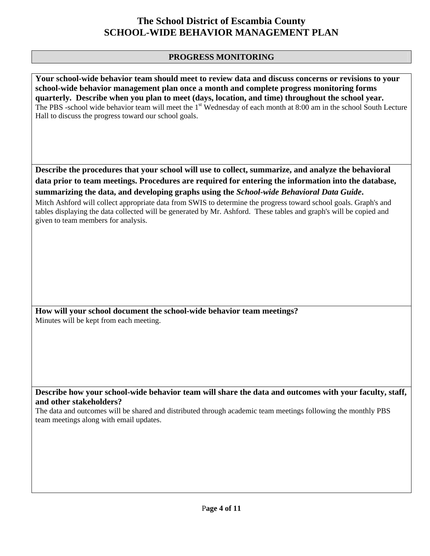### **PROGRESS MONITORING**

**Your school-wide behavior team should meet to review data and discuss concerns or revisions to your school-wide behavior management plan once a month and complete progress monitoring forms quarterly. Describe when you plan to meet (days, location, and time) throughout the school year.**  The PBS -school wide behavior team will meet the 1<sup>st</sup> Wednesday of each month at 8:00 am in the school South Lecture Hall to discuss the progress toward our school goals.

**Describe the procedures that your school will use to collect, summarize, and analyze the behavioral data prior to team meetings. Procedures are required for entering the information into the database, summarizing the data, and developing graphs using the** *School-wide Behavioral Data Guide***.** 

Mitch Ashford will collect appropriate data from SWIS to determine the progress toward school goals. Graph's and tables displaying the data collected will be generated by Mr. Ashford. These tables and graph's will be copied and given to team members for analysis.

**How will your school document the school-wide behavior team meetings?** Minutes will be kept from each meeting.

**Describe how your school-wide behavior team will share the data and outcomes with your faculty, staff, and other stakeholders?** 

The data and outcomes will be shared and distributed through academic team meetings following the monthly PBS team meetings along with email updates.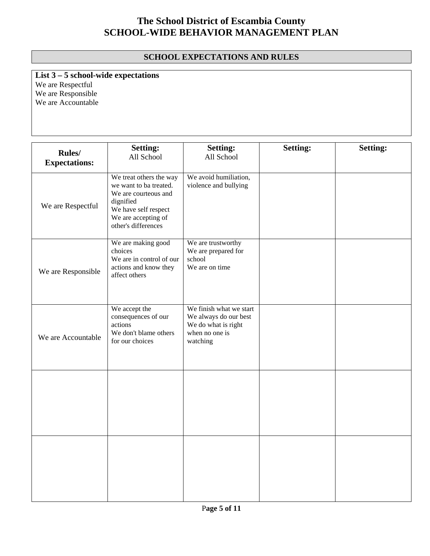### **SCHOOL EXPECTATIONS AND RULES**

**List 3 – 5 school-wide expectations** We are Respectful We are Responsible We are Accountable

**Rules/ Expectations: Setting:**  All School **Setting:**  All School **Setting: Setting:**  We are Respectful We treat others the way we want to ba treated. We are courteous and dignified We have self respect We are accepting of other's differences We avoid humiliation, violence and bullying We are Responsible We are making good choices We are in control of our actions and know they affect others We are trustworthy We are prepared for school We are on time We are Accountable We accept the consequences of our actions We don't blame others for our choices We finish what we start We always do our best We do what is right when no one is watching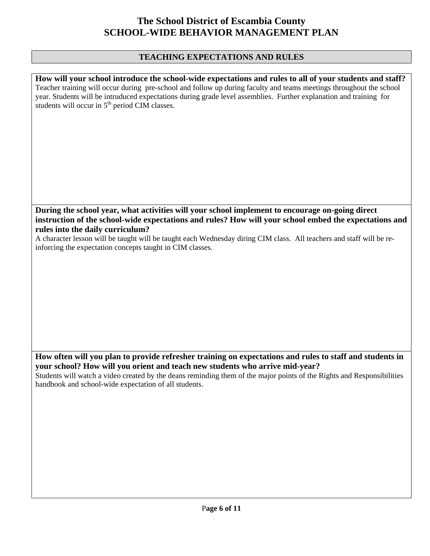## **TEACHING EXPECTATIONS AND RULES**

| How will your school introduce the school-wide expectations and rules to all of your students and staff?<br>Teacher training will occur during pre-school and follow up during faculty and teams meetings throughout the school<br>year. Students will be intruduced expectations during grade level assemblies. Further explanation and training for<br>students will occur in 5 <sup>th</sup> period CIM classes. |
|---------------------------------------------------------------------------------------------------------------------------------------------------------------------------------------------------------------------------------------------------------------------------------------------------------------------------------------------------------------------------------------------------------------------|
|                                                                                                                                                                                                                                                                                                                                                                                                                     |
| During the school year, what activities will your school implement to encourage on-going direct                                                                                                                                                                                                                                                                                                                     |
| instruction of the school-wide expectations and rules? How will your school embed the expectations and                                                                                                                                                                                                                                                                                                              |
| rules into the daily curriculum?<br>A character lesson will be taught will be taught each Wednesday diring CIM class. All teachers and staff will be re-<br>inforcing the expectation concepts taught in CIM classes.                                                                                                                                                                                               |
|                                                                                                                                                                                                                                                                                                                                                                                                                     |
|                                                                                                                                                                                                                                                                                                                                                                                                                     |
|                                                                                                                                                                                                                                                                                                                                                                                                                     |
| How often will you plan to provide refresher training on expectations and rules to staff and students in                                                                                                                                                                                                                                                                                                            |
| your school? How will you orient and teach new students who arrive mid-year?<br>Students will watch a video created by the deans reminding them of the major points of the Rights and Responsibilities<br>handbook and school-wide expectation of all students.                                                                                                                                                     |
|                                                                                                                                                                                                                                                                                                                                                                                                                     |
|                                                                                                                                                                                                                                                                                                                                                                                                                     |
|                                                                                                                                                                                                                                                                                                                                                                                                                     |
|                                                                                                                                                                                                                                                                                                                                                                                                                     |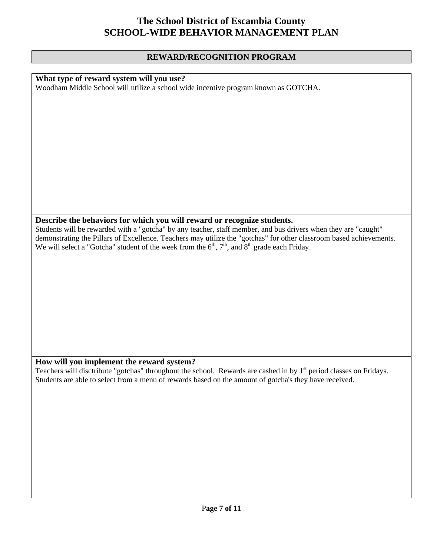#### **REWARD/RECOGNITION PROGRAM**

### **What type of reward system will you use?**

Woodham Middle School will utilize a school wide incentive program known as GOTCHA.

### **Describe the behaviors for which you will reward or recognize students.**

Students will be rewarded with a "gotcha" by any teacher, staff member, and bus drivers when they are "caught" demonstrating the Pillars of Excellence. Teachers may utilize the "gotchas" for other classroom based achievements. We will select a "Gotcha" student of the week from the  $6<sup>th</sup>$ ,  $7<sup>th</sup>$ , and  $8<sup>th</sup>$  grade each Friday.

### **How will you implement the reward system?**

Teachers will disctribute "gotchas" throughout the school. Rewards are cashed in by 1<sup>st</sup> period classes on Fridays. Students are able to select from a menu of rewards based on the amount of gotcha's they have received.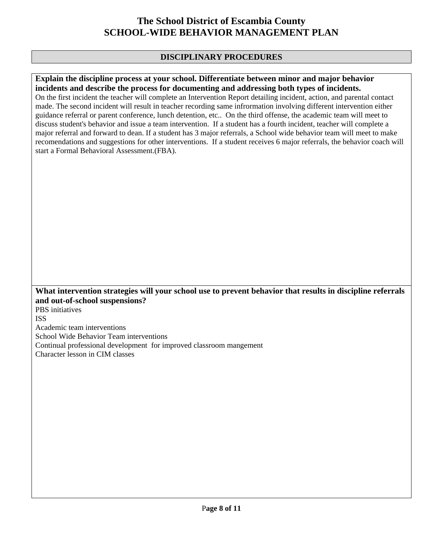### **DISCIPLINARY PROCEDURES**

### **Explain the discipline process at your school. Differentiate between minor and major behavior incidents and describe the process for documenting and addressing both types of incidents.**

On the first incident the teacher will complete an Intervention Report detailing incident, action, and parental contact made. The second incident will result in teacher recording same infrormation involving different intervention either guidance referral or parent conference, lunch detention, etc.. On the third offense, the academic team will meet to discuss student's behavior and issue a team intervention. If a student has a fourth incident, teacher will complete a major referral and forward to dean. If a student has 3 major referrals, a School wide behavior team will meet to make recomendations and suggestions for other interventions. If a student receives 6 major referrals, the behavior coach will start a Formal Behavioral Assessment.(FBA).

### **What intervention strategies will your school use to prevent behavior that results in discipline referrals and out-of-school suspensions?**

PBS initiatives ISS

Academic team interventions

School Wide Behavior Team interventions

Continual professional development for improved classroom mangement

Character lesson in CIM classes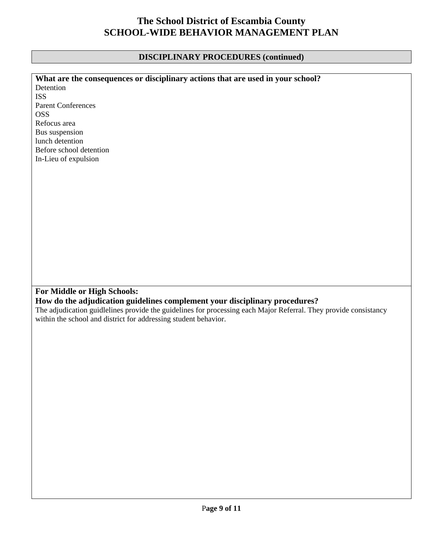## **DISCIPLINARY PROCEDURES (continued)**

| What are the consequences or disciplinary actions that are used in your school?                                  |
|------------------------------------------------------------------------------------------------------------------|
| Detention                                                                                                        |
| <b>ISS</b>                                                                                                       |
| <b>Parent Conferences</b>                                                                                        |
| <b>OSS</b>                                                                                                       |
| Refocus area                                                                                                     |
| Bus suspension                                                                                                   |
| lunch detention                                                                                                  |
| Before school detention                                                                                          |
| In-Lieu of expulsion                                                                                             |
|                                                                                                                  |
|                                                                                                                  |
|                                                                                                                  |
|                                                                                                                  |
|                                                                                                                  |
|                                                                                                                  |
|                                                                                                                  |
|                                                                                                                  |
|                                                                                                                  |
|                                                                                                                  |
|                                                                                                                  |
|                                                                                                                  |
|                                                                                                                  |
|                                                                                                                  |
|                                                                                                                  |
| For Middle or High Schools:                                                                                      |
| How do the adjudication guidelines complement your disciplinary procedures?                                      |
| The adjudication guidlelines provide the guidelines for processing each Major Referral. They provide consistancy |
| within the school and district for addressing student behavior.                                                  |
|                                                                                                                  |
|                                                                                                                  |
|                                                                                                                  |
|                                                                                                                  |
|                                                                                                                  |
|                                                                                                                  |
|                                                                                                                  |
|                                                                                                                  |
|                                                                                                                  |
|                                                                                                                  |
|                                                                                                                  |
|                                                                                                                  |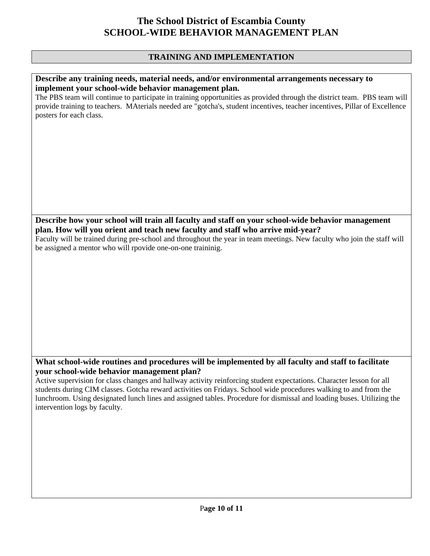### **TRAINING AND IMPLEMENTATION**

#### **Describe any training needs, material needs, and/or environmental arrangements necessary to implement your school-wide behavior management plan.**

The PBS team will continue to participate in training opportunities as provided through the district team. PBS team will provide training to teachers. MAterials needed are "gotcha's, student incentives, teacher incentives, Pillar of Excellence posters for each class.

**Describe how your school will train all faculty and staff on your school-wide behavior management plan. How will you orient and teach new faculty and staff who arrive mid-year?** 

Faculty will be trained during pre-school and throughout the year in team meetings. New faculty who join the staff will be assigned a mentor who will rpovide one-on-one traininig.

### **What school-wide routines and procedures will be implemented by all faculty and staff to facilitate your school-wide behavior management plan?**

Active supervision for class changes and hallway activity reinforcing student expectations. Character lesson for all students during CIM classes. Gotcha reward activities on Fridays. School wide procedures walking to and from the lunchroom. Using designated lunch lines and assigned tables. Procedure for dismissal and loading buses. Utilizing the intervention logs by faculty.